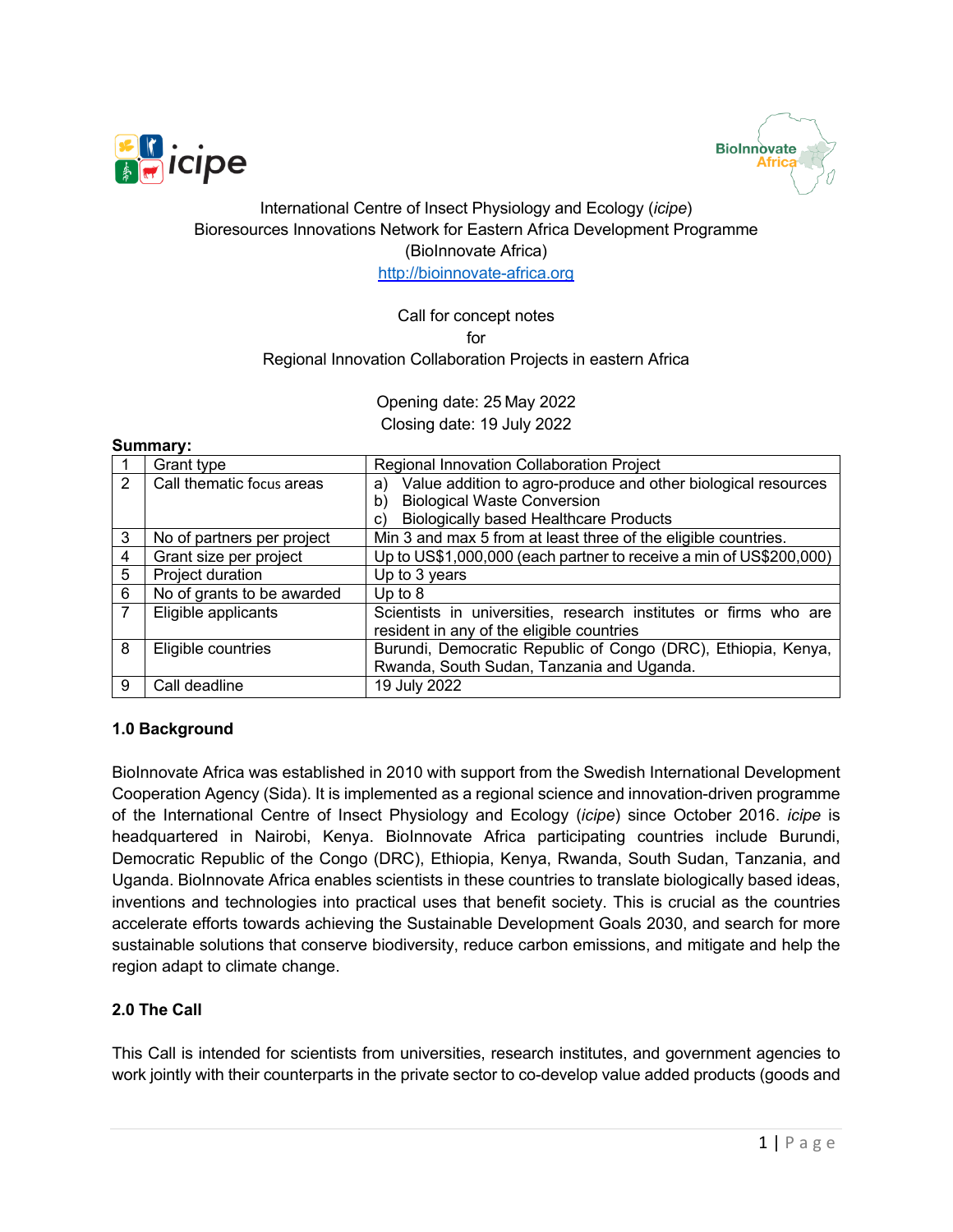



# International Centre of Insect Physiology and Ecology (*icipe*) Bioresources Innovations Network for Eastern Africa Development Programme (BioInnovate Africa) http://bioinnovate-africa.org

# Call for concept notes for Regional Innovation Collaboration Projects in eastern Africa

Opening date: 25 May 2022 Closing date: 19 July 2022

### **Summary:**

|   | Grant type                 | Regional Innovation Collaboration Project                           |  |  |  |
|---|----------------------------|---------------------------------------------------------------------|--|--|--|
| 2 | Call thematic focus areas  | Value addition to agro-produce and other biological resources<br>a) |  |  |  |
|   |                            | <b>Biological Waste Conversion</b><br>b)                            |  |  |  |
|   |                            | <b>Biologically based Healthcare Products</b><br>C)                 |  |  |  |
| 3 | No of partners per project | Min 3 and max 5 from at least three of the eligible countries.      |  |  |  |
| 4 | Grant size per project     | Up to US\$1,000,000 (each partner to receive a min of US\$200,000)  |  |  |  |
| 5 | Project duration           | Up to 3 years                                                       |  |  |  |
| 6 | No of grants to be awarded | Up to $8$                                                           |  |  |  |
|   | Eligible applicants        | Scientists in universities, research institutes or firms who are    |  |  |  |
|   |                            | resident in any of the eligible countries                           |  |  |  |
| 8 | Eligible countries         | Burundi, Democratic Republic of Congo (DRC), Ethiopia, Kenya,       |  |  |  |
|   |                            | Rwanda, South Sudan, Tanzania and Uganda.                           |  |  |  |
| 9 | Call deadline              | 19 July 2022                                                        |  |  |  |

### **1.0 Background**

BioInnovate Africa was established in 2010 with support from the Swedish International Development Cooperation Agency (Sida). It is implemented as a regional science and innovation-driven programme of the International Centre of Insect Physiology and Ecology (*icipe*) since October 2016. *icipe* is headquartered in Nairobi, Kenya. BioInnovate Africa participating countries include Burundi, Democratic Republic of the Congo (DRC), Ethiopia, Kenya, Rwanda, South Sudan, Tanzania, and Uganda. BioInnovate Africa enables scientists in these countries to translate biologically based ideas, inventions and technologies into practical uses that benefit society. This is crucial as the countries accelerate efforts towards achieving the Sustainable Development Goals 2030, and search for more sustainable solutions that conserve biodiversity, reduce carbon emissions, and mitigate and help the region adapt to climate change.

# **2.0 The Call**

This Call is intended for scientists from universities, research institutes, and government agencies to work jointly with their counterparts in the private sector to co-develop value added products (goods and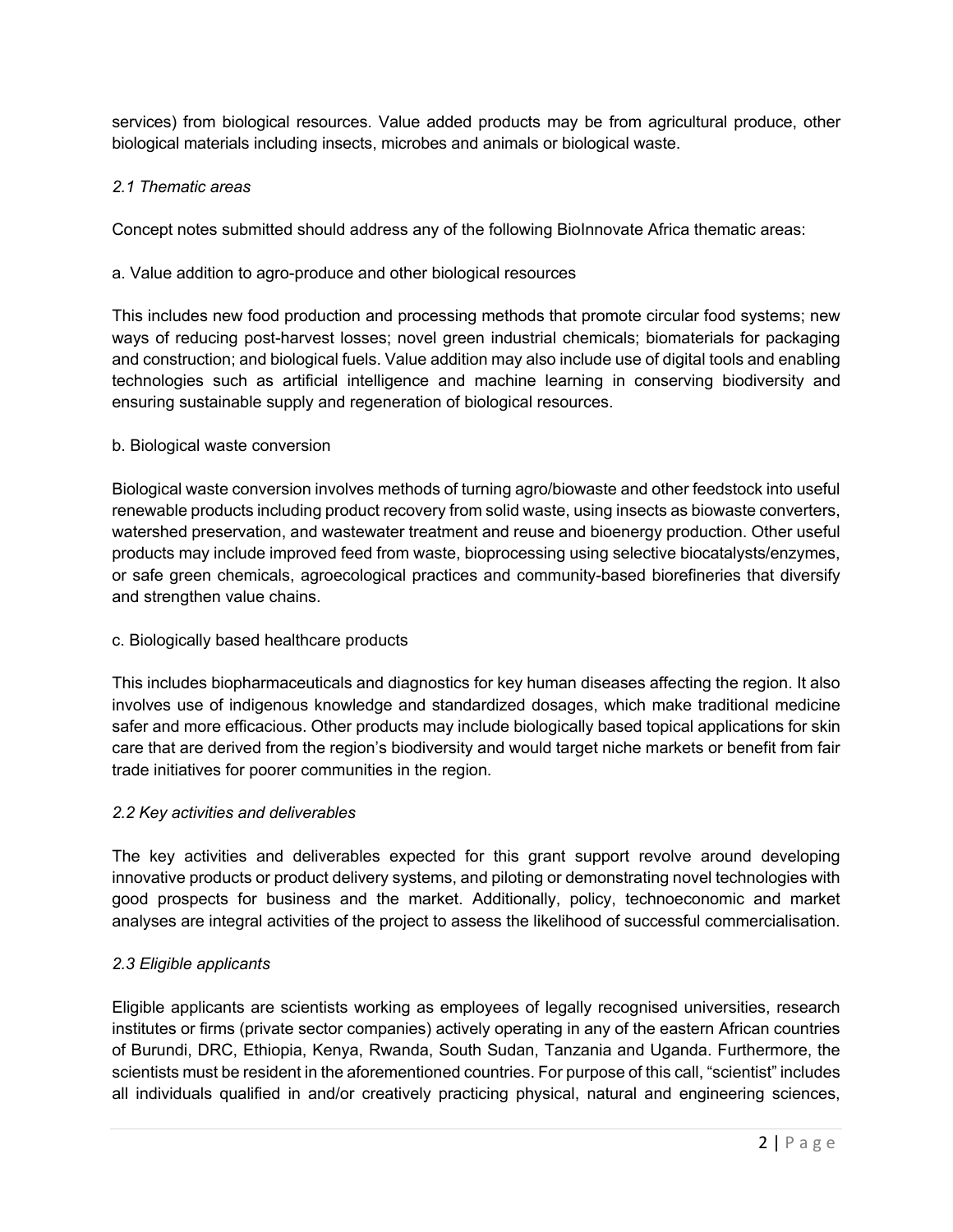services) from biological resources. Value added products may be from agricultural produce, other biological materials including insects, microbes and animals or biological waste.

## *2.1 Thematic areas*

Concept notes submitted should address any of the following BioInnovate Africa thematic areas:

## a. Value addition to agro-produce and other biological resources

This includes new food production and processing methods that promote circular food systems; new ways of reducing post-harvest losses; novel green industrial chemicals; biomaterials for packaging and construction; and biological fuels. Value addition may also include use of digital tools and enabling technologies such as artificial intelligence and machine learning in conserving biodiversity and ensuring sustainable supply and regeneration of biological resources.

## b. Biological waste conversion

Biological waste conversion involves methods of turning agro/biowaste and other feedstock into useful renewable products including product recovery from solid waste, using insects as biowaste converters, watershed preservation, and wastewater treatment and reuse and bioenergy production. Other useful products may include improved feed from waste, bioprocessing using selective biocatalysts/enzymes, or safe green chemicals, agroecological practices and community-based biorefineries that diversify and strengthen value chains.

### c. Biologically based healthcare products

This includes biopharmaceuticals and diagnostics for key human diseases affecting the region. It also involves use of indigenous knowledge and standardized dosages, which make traditional medicine safer and more efficacious. Other products may include biologically based topical applications for skin care that are derived from the region's biodiversity and would target niche markets or benefit from fair trade initiatives for poorer communities in the region.

### *2.2 Key activities and deliverables*

The key activities and deliverables expected for this grant support revolve around developing innovative products or product delivery systems, and piloting or demonstrating novel technologies with good prospects for business and the market. Additionally, policy, technoeconomic and market analyses are integral activities of the project to assess the likelihood of successful commercialisation.

# *2.3 Eligible applicants*

Eligible applicants are scientists working as employees of legally recognised universities, research institutes or firms (private sector companies) actively operating in any of the eastern African countries of Burundi, DRC, Ethiopia, Kenya, Rwanda, South Sudan, Tanzania and Uganda. Furthermore, the scientists must be resident in the aforementioned countries. For purpose of this call, "scientist" includes all individuals qualified in and/or creatively practicing physical, natural and engineering sciences,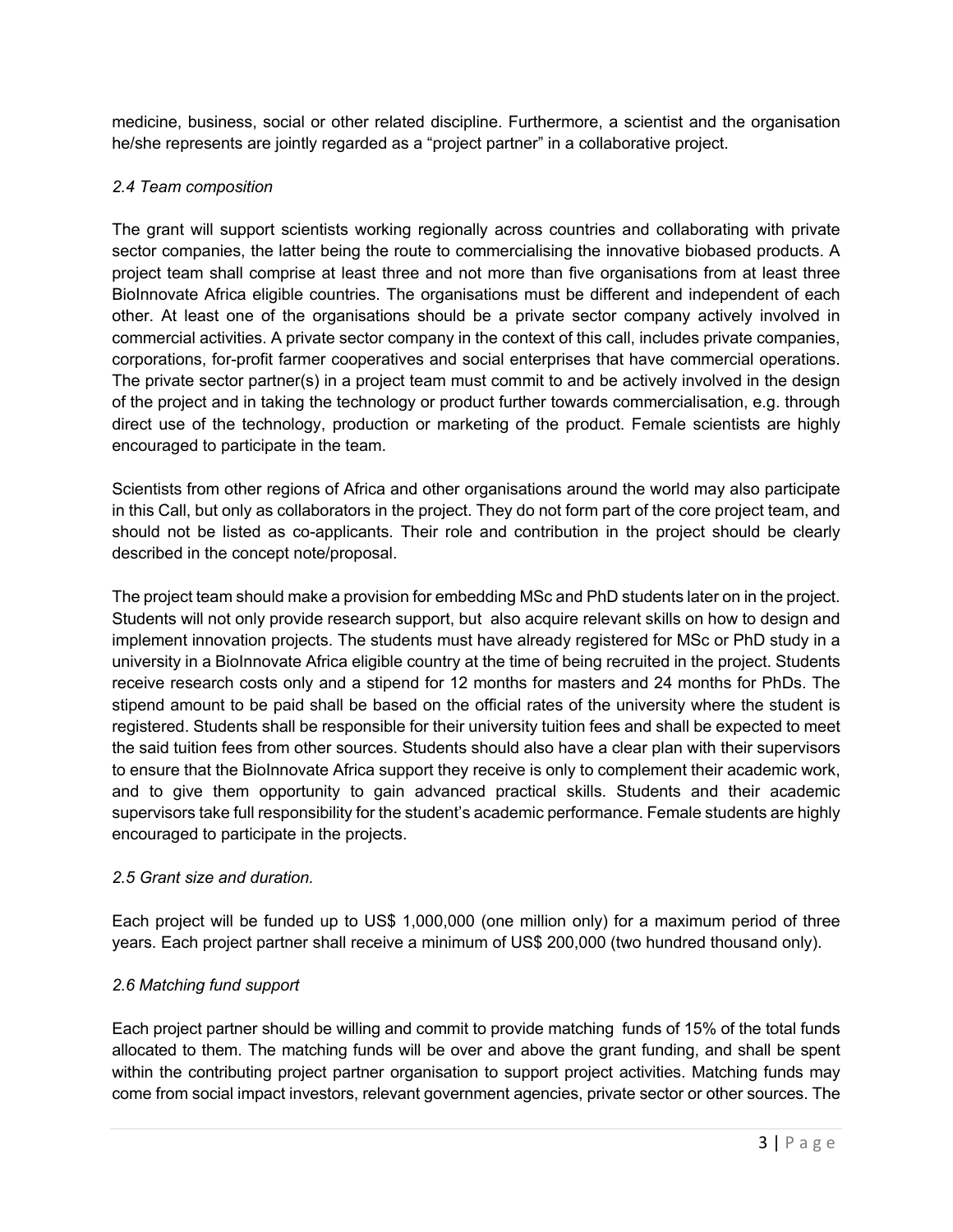medicine, business, social or other related discipline. Furthermore, a scientist and the organisation he/she represents are jointly regarded as a "project partner" in a collaborative project.

## *2.4 Team composition*

The grant will support scientists working regionally across countries and collaborating with private sector companies, the latter being the route to commercialising the innovative biobased products. A project team shall comprise at least three and not more than five organisations from at least three BioInnovate Africa eligible countries. The organisations must be different and independent of each other. At least one of the organisations should be a private sector company actively involved in commercial activities. A private sector company in the context of this call, includes private companies, corporations, for-profit farmer cooperatives and social enterprises that have commercial operations. The private sector partner(s) in a project team must commit to and be actively involved in the design of the project and in taking the technology or product further towards commercialisation, e.g. through direct use of the technology, production or marketing of the product. Female scientists are highly encouraged to participate in the team.

Scientists from other regions of Africa and other organisations around the world may also participate in this Call, but only as collaborators in the project. They do not form part of the core project team, and should not be listed as co-applicants. Their role and contribution in the project should be clearly described in the concept note/proposal.

The project team should make a provision for embedding MSc and PhD students later on in the project. Students will not only provide research support, but also acquire relevant skills on how to design and implement innovation projects. The students must have already registered for MSc or PhD study in a university in a BioInnovate Africa eligible country at the time of being recruited in the project. Students receive research costs only and a stipend for 12 months for masters and 24 months for PhDs. The stipend amount to be paid shall be based on the official rates of the university where the student is registered. Students shall be responsible for their university tuition fees and shall be expected to meet the said tuition fees from other sources. Students should also have a clear plan with their supervisors to ensure that the BioInnovate Africa support they receive is only to complement their academic work, and to give them opportunity to gain advanced practical skills. Students and their academic supervisors take full responsibility for the student's academic performance. Female students are highly encouraged to participate in the projects.

# *2.5 Grant size and duration.*

Each project will be funded up to US\$ 1,000,000 (one million only) for a maximum period of three years. Each project partner shall receive a minimum of US\$ 200,000 (two hundred thousand only).

# *2.6 Matching fund support*

Each project partner should be willing and commit to provide matching funds of 15% of the total funds allocated to them. The matching funds will be over and above the grant funding, and shall be spent within the contributing project partner organisation to support project activities. Matching funds may come from social impact investors, relevant government agencies, private sector or other sources. The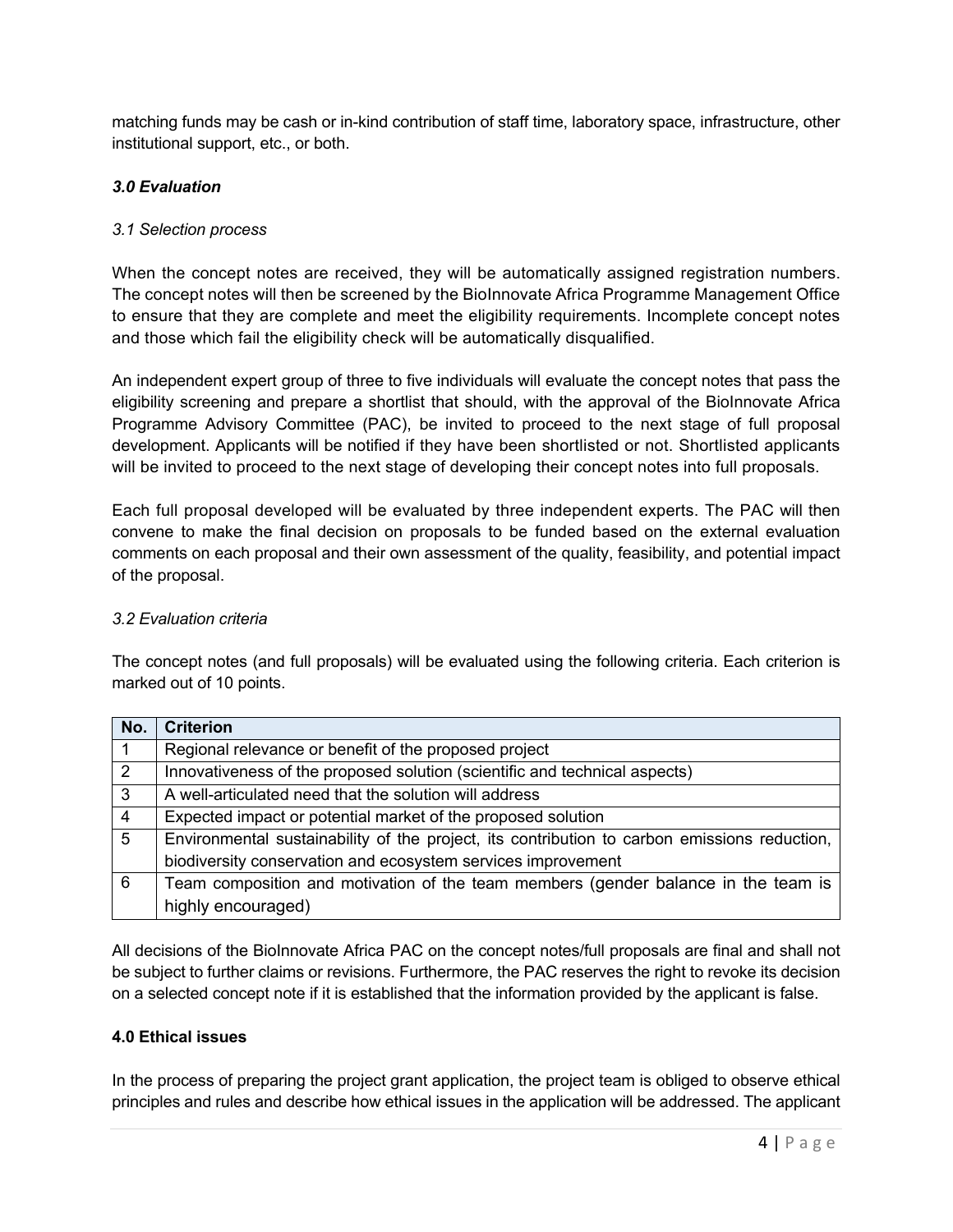matching funds may be cash or in-kind contribution of staff time, laboratory space, infrastructure, other institutional support, etc., or both.

# *3.0 Evaluation*

# *3.1 Selection process*

When the concept notes are received, they will be automatically assigned registration numbers. The concept notes will then be screened by the BioInnovate Africa Programme Management Office to ensure that they are complete and meet the eligibility requirements. Incomplete concept notes and those which fail the eligibility check will be automatically disqualified.

An independent expert group of three to five individuals will evaluate the concept notes that pass the eligibility screening and prepare a shortlist that should, with the approval of the BioInnovate Africa Programme Advisory Committee (PAC), be invited to proceed to the next stage of full proposal development. Applicants will be notified if they have been shortlisted or not. Shortlisted applicants will be invited to proceed to the next stage of developing their concept notes into full proposals.

Each full proposal developed will be evaluated by three independent experts. The PAC will then convene to make the final decision on proposals to be funded based on the external evaluation comments on each proposal and their own assessment of the quality, feasibility, and potential impact of the proposal.

# *3.2 Evaluation criteria*

The concept notes (and full proposals) will be evaluated using the following criteria. Each criterion is marked out of 10 points.

| No.            | <b>Criterion</b>                                                                             |  |
|----------------|----------------------------------------------------------------------------------------------|--|
|                | Regional relevance or benefit of the proposed project                                        |  |
| 2              | Innovativeness of the proposed solution (scientific and technical aspects)                   |  |
| 3              | A well-articulated need that the solution will address                                       |  |
| $\overline{4}$ | Expected impact or potential market of the proposed solution                                 |  |
| 5              | Environmental sustainability of the project, its contribution to carbon emissions reduction, |  |
|                | biodiversity conservation and ecosystem services improvement                                 |  |
| 6              | Team composition and motivation of the team members (gender balance in the team is           |  |
|                | highly encouraged)                                                                           |  |

All decisions of the BioInnovate Africa PAC on the concept notes/full proposals are final and shall not be subject to further claims or revisions. Furthermore, the PAC reserves the right to revoke its decision on a selected concept note if it is established that the information provided by the applicant is false.

## **4.0 Ethical issues**

In the process of preparing the project grant application, the project team is obliged to observe ethical principles and rules and describe how ethical issues in the application will be addressed. The applicant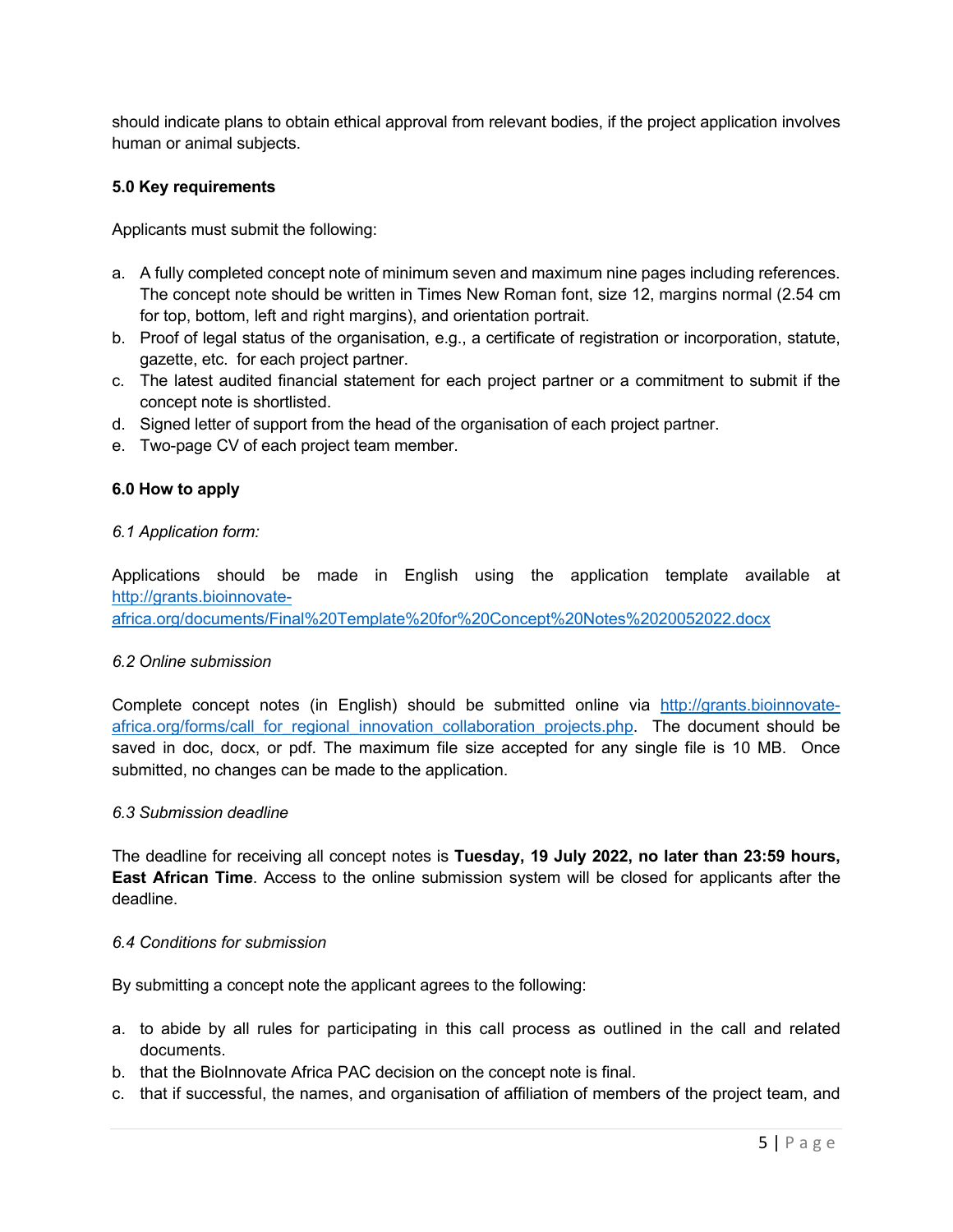should indicate plans to obtain ethical approval from relevant bodies, if the project application involves human or animal subjects.

## **5.0 Key requirements**

Applicants must submit the following:

- a. A fully completed concept note of minimum seven and maximum nine pages including references. The concept note should be written in Times New Roman font, size 12, margins normal (2.54 cm for top, bottom, left and right margins), and orientation portrait.
- b. Proof of legal status of the organisation, e.g., a certificate of registration or incorporation, statute, gazette, etc. for each project partner.
- c. The latest audited financial statement for each project partner or a commitment to submit if the concept note is shortlisted.
- d. Signed letter of support from the head of the organisation of each project partner.
- e. Two-page CV of each project team member.

## **6.0 How to apply**

### *6.1 Application form:*

Applications should be made in English using the application template available at http://grants.bioinnovate-

africa.org/documents/Final%20Template%20for%20Concept%20Notes%2020052022.docx

### *6.2 Online submission*

Complete concept notes (in English) should be submitted online via http://grants.bioinnovateafrica.org/forms/call\_for\_regional\_innovation\_collaboration\_projects.php. The document should be saved in doc, docx, or pdf. The maximum file size accepted for any single file is 10 MB. Once submitted, no changes can be made to the application.

### *6.3 Submission deadline*

The deadline for receiving all concept notes is **Tuesday, 19 July 2022, no later than 23:59 hours, East African Time**. Access to the online submission system will be closed for applicants after the deadline.

### *6.4 Conditions for submission*

By submitting a concept note the applicant agrees to the following:

- a. to abide by all rules for participating in this call process as outlined in the call and related documents.
- b. that the BioInnovate Africa PAC decision on the concept note is final.
- c. that if successful, the names, and organisation of affiliation of members of the project team, and